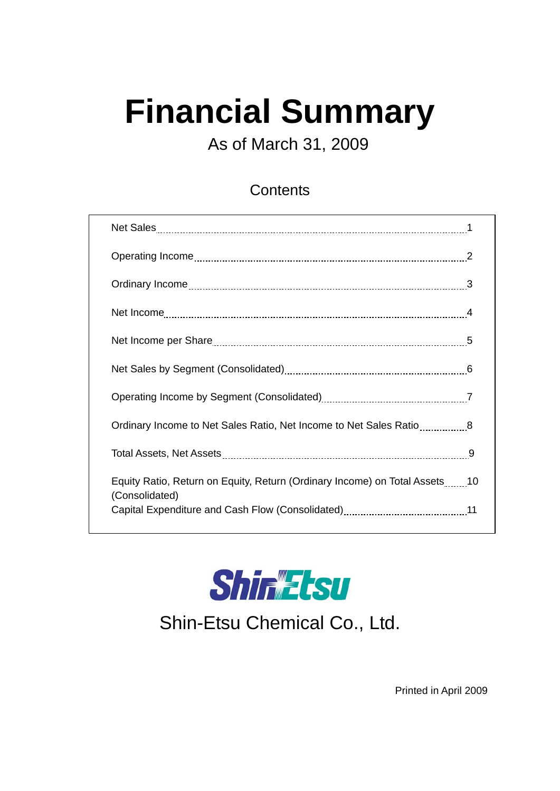# **Financial Summary**

As of March 31, 2009

#### **Contents**

| Ordinary Income to Net Sales Ratio, Net Income to Net Sales Ratio8                           |  |
|----------------------------------------------------------------------------------------------|--|
|                                                                                              |  |
| Equity Ratio, Return on Equity, Return (Ordinary Income) on Total Assets10<br>(Consolidated) |  |
|                                                                                              |  |



Shin-Etsu Chemical Co., Ltd.

Printed in April 2009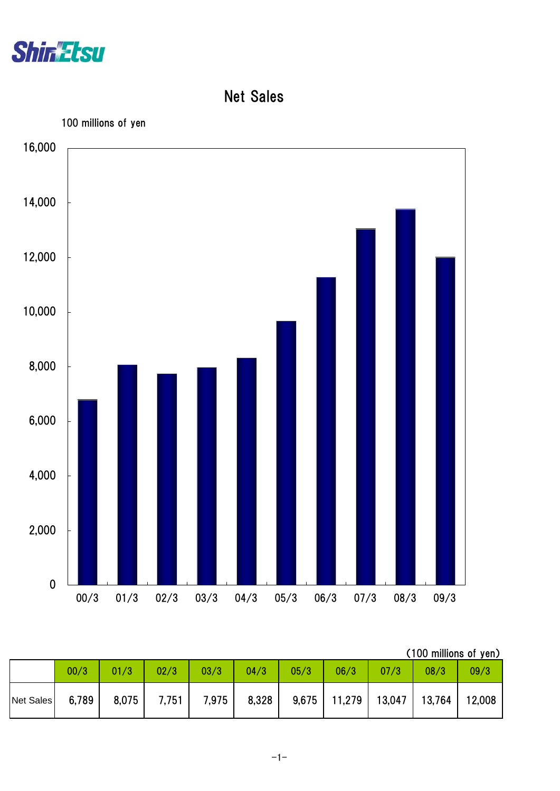

Net Sales



|           | (100 millions of yen) |       |       |       |       |       |        |        |        |        |  |  |  |  |
|-----------|-----------------------|-------|-------|-------|-------|-------|--------|--------|--------|--------|--|--|--|--|
|           | 00/3                  | 01/3  | 02/3  | 03/3  | 04/3  | 05/3  | 06/3   | 07/3   | 08/3   | 09/3   |  |  |  |  |
| Net Sales | 6,789                 | 8,075 | 7,751 | 7,975 | 8,328 | 9,675 | 11,279 | 13,047 | 13,764 | 12,008 |  |  |  |  |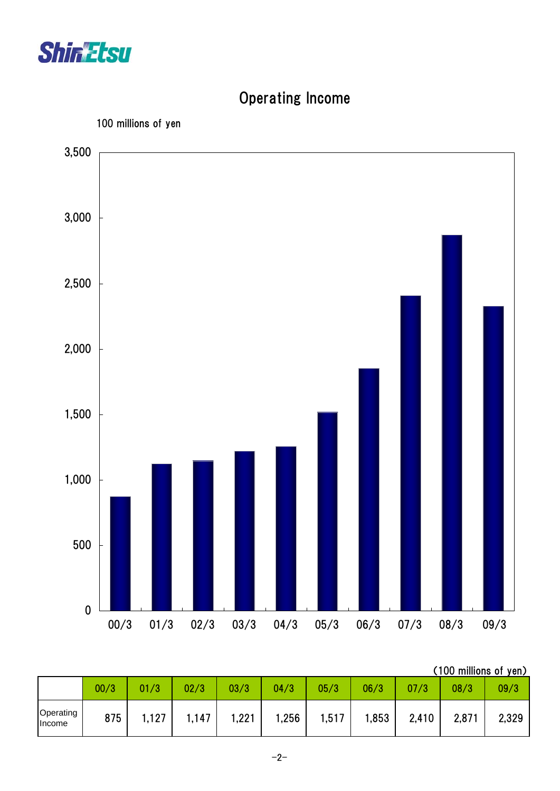



# Operating Income

|                            | 00/3 | /3    | 02/3 | 03/3  | 04/3  | 05/3  | 06/3 | 07/3  | 08/3  | 09/3  |
|----------------------------|------|-------|------|-------|-------|-------|------|-------|-------|-------|
| Operating<br><b>Income</b> | 875  | 1,127 | ,147 | 1,221 | 256،، | 1,517 | ,853 | 2,410 | 2,871 | 2,329 |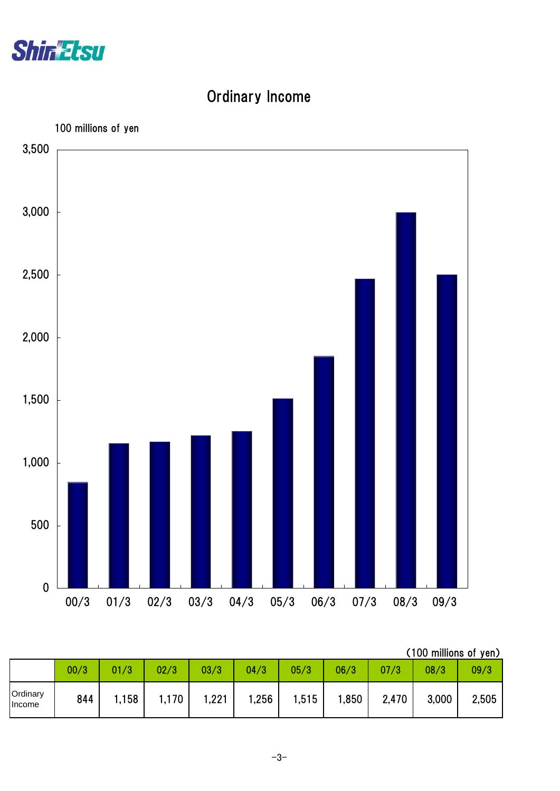

# Ordinary Income



|                    | (100 millions of yen) |      |       |      |       |       |      |       |       |       |  |  |  |  |
|--------------------|-----------------------|------|-------|------|-------|-------|------|-------|-------|-------|--|--|--|--|
|                    | 00/3                  | 01/3 | 02/3  | 03/3 | 04/3  | 05/3  | 06/3 | 07/3  | 08/3  | 09/3  |  |  |  |  |
| Ordinary<br>Income | 844                   | ,158 | 1,170 | ,221 | 256،، | 1,515 | ,850 | 2,470 | 3,000 | 2,505 |  |  |  |  |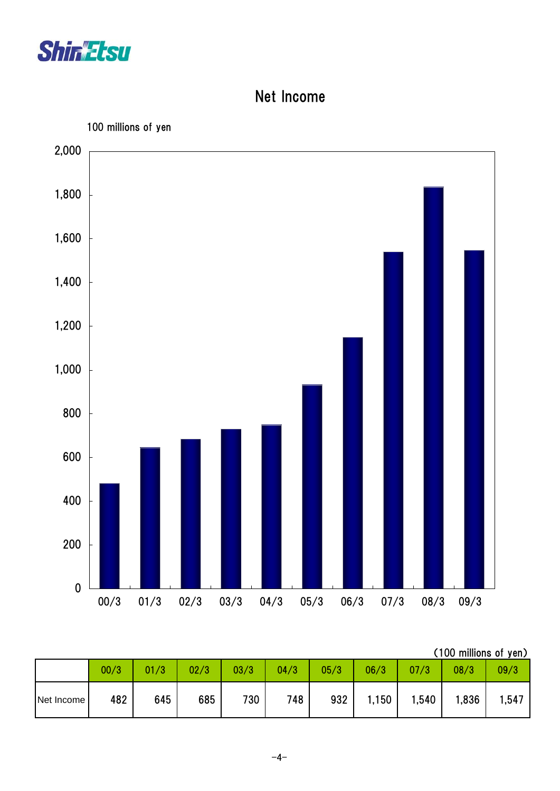

### Net Income



|            | (100 millions of yen) |      |      |      |      |      |       |       |       |       |  |  |  |  |
|------------|-----------------------|------|------|------|------|------|-------|-------|-------|-------|--|--|--|--|
|            | 00/3                  | 01/3 | 02/3 | 03/3 | 04/3 | 05/3 | 06/3  | 07/3  | 08/3  | 09/3  |  |  |  |  |
| Net Income | 482                   | 645  | 685  | 730  | 748  | 932  | 1,150 | 1,540 | 1,836 | 1,547 |  |  |  |  |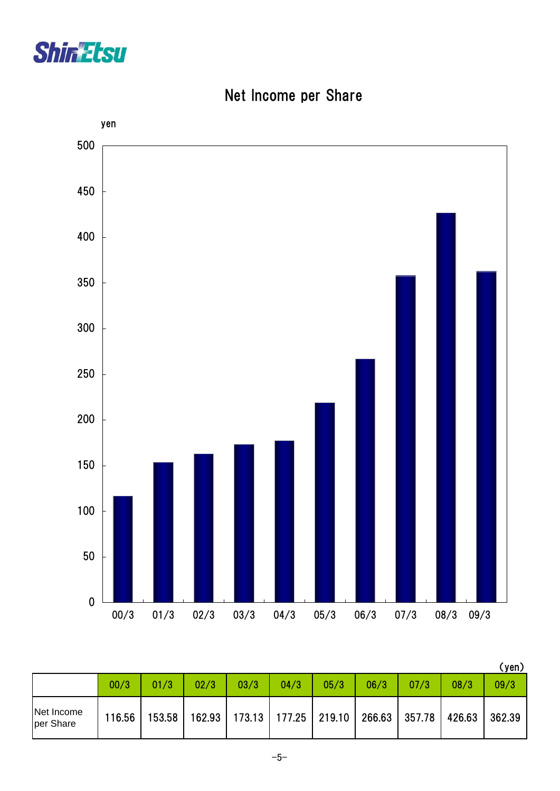



Net Income per Share

|                         |        |        |        |      |                                   |      |      |        |        | (yen)  |
|-------------------------|--------|--------|--------|------|-----------------------------------|------|------|--------|--------|--------|
|                         | 00/3   | 01/3   | 02/3   | 03/3 | 04/3                              | 05/3 | 06/3 | 07/3   | 08/3   | 09/3   |
| Net Income<br>per Share | 116.56 | 153.58 | 162.93 |      | 173.13   177.25   219.10   266.63 |      |      | 357.78 | 426.63 | 362.39 |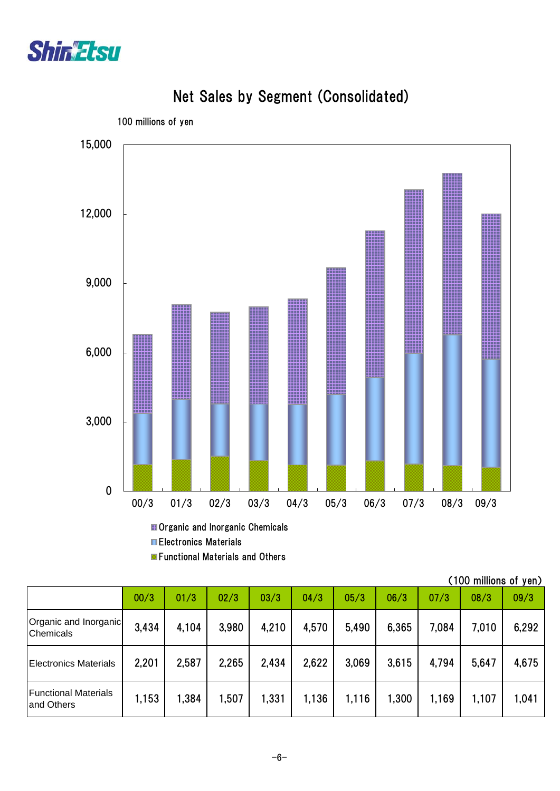



# Net Sales by Segment (Consolidated)

**Organic and Inorganic Chemicals Electronics Materials** 

**E** Functional Materials and Others

|                                           |       |       |       |       |       |       |       |       | (TOO millions of yen <i>)</i> |       |
|-------------------------------------------|-------|-------|-------|-------|-------|-------|-------|-------|-------------------------------|-------|
|                                           | 00/3  | 01/3  | 02/3  | 03/3  | 04/3  | 05/3  | 06/3  | 07/3  | 08/3                          | 09/3  |
| Organic and Inorganic<br><b>Chemicals</b> | 3,434 | 4,104 | 3,980 | 4,210 | 4,570 | 5,490 | 6,365 | 7,084 | 7,010                         | 6,292 |
| <b>Electronics Materials</b>              | 2,201 | 2,587 | 2,265 | 2,434 | 2,622 | 3,069 | 3,615 | 4.794 | 5,647                         | 4,675 |
| <b>Functional Materials</b><br>and Others | 1,153 | 1,384 | 1,507 | 1,331 | 1,136 | 1,116 | 1,300 | 1,169 | 1,107                         | 1,041 |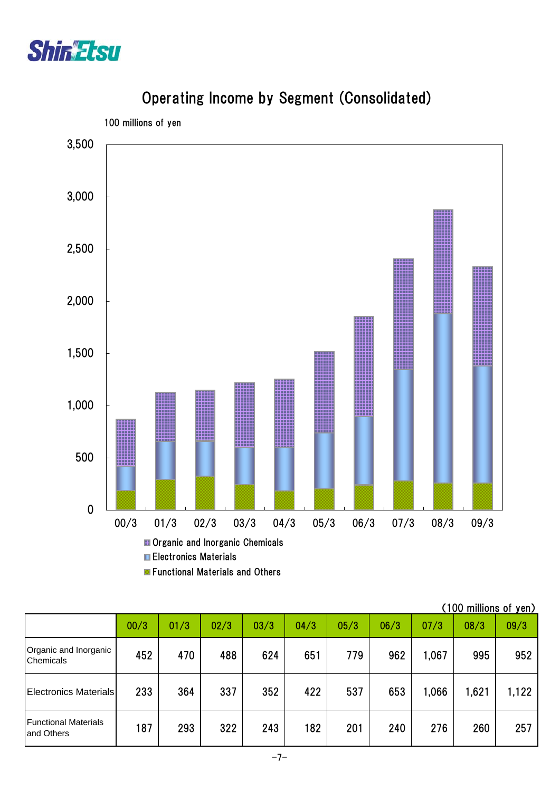



#### Operating Income by Segment (Consolidated)

**Functional Materials and Others** 

|                                            |      |      |      |      |      |      |      |       | (100 millions of yen) |       |
|--------------------------------------------|------|------|------|------|------|------|------|-------|-----------------------|-------|
|                                            | 00/3 | 01/3 | 02/3 | 03/3 | 04/3 | 05/3 | 06/3 | 07/3  | 08/3                  | 09/3  |
| Organic and Inorganic<br><b>Chemicals</b>  | 452  | 470  | 488  | 624  | 651  | 779  | 962  | 1,067 | 995                   | 952   |
| <b>Electronics Materials</b>               | 233  | 364  | 337  | 352  | 422  | 537  | 653  | 1,066 | 1,621                 | 1,122 |
| <b>Functional Materials</b><br>land Others | 187  | 293  | 322  | 243  | 182  | 201  | 240  | 276   | 260                   | 257   |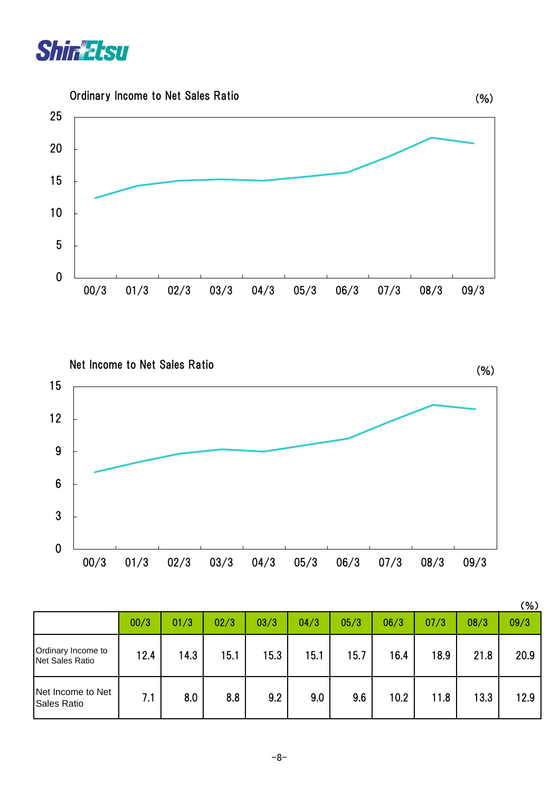





|                                              |      |      |      |      |      |      |      |      |      | (% ) |
|----------------------------------------------|------|------|------|------|------|------|------|------|------|------|
|                                              | 00/3 | 01/3 | 02/3 | 03/3 | 04/3 | 05/3 | 06/3 | 07/3 | 08/3 | 09/3 |
| Ordinary Income to<br><b>Net Sales Ratio</b> | 12.4 | 14.3 | 15.1 | 15.3 | 15.1 | 15.7 | 16.4 | 18.9 | 21.8 | 20.9 |
| Net Income to Net<br>Sales Ratio             | 7.1  | 8.0  | 8.8  | 9.2  | 9.0  | 9.6  | 10.2 | 11.8 | 13.3 | 12.9 |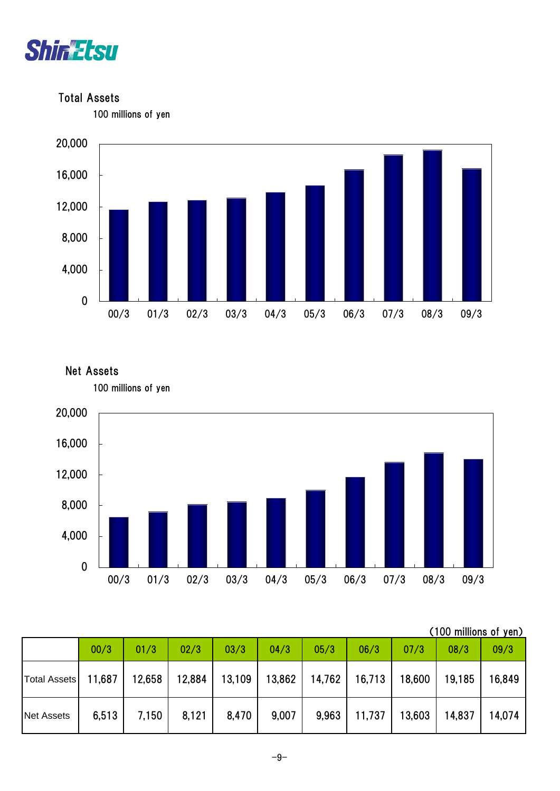

Total Assets

100 millions of yen







|                     | 00/3   | 01/3   | 02/3   | 03/3   | 04/3   | 05/3   | 06/3   | 07/3   | 08/3   | 09/3   |
|---------------------|--------|--------|--------|--------|--------|--------|--------|--------|--------|--------|
| <b>Total Assets</b> | 11,687 | 12,658 | 12,884 | 13,109 | 13,862 | 14,762 | 16,713 | 18,600 | 19,185 | 16,849 |
| <b>Net Assets</b>   | 6,513  | 7,150  | 8,121  | 8,470  | 9,007  | 9,963  | 11,737 | 13,603 | 14,837 | 14,074 |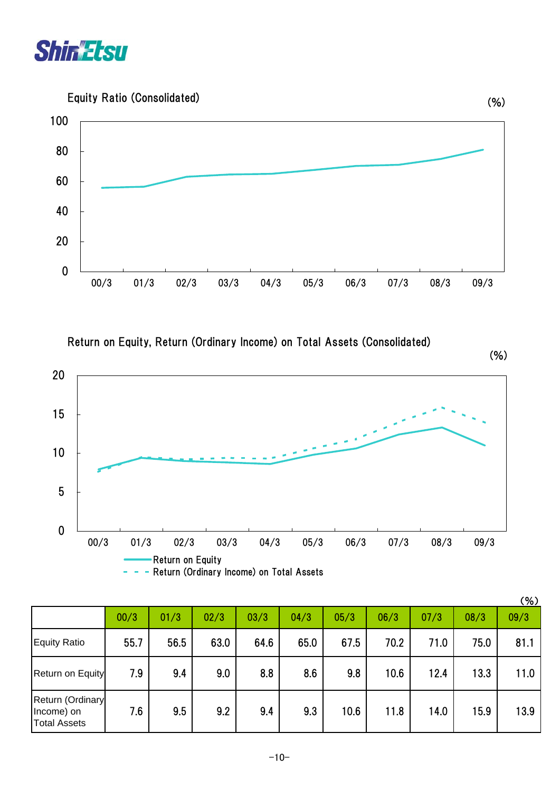

Equity Ratio (Consolidated)



Return on Equity, Return (Ordinary Income) on Total Assets (Consolidated)

(%)



| - Return (Ordinary Income) on Total Assets |  |
|--------------------------------------------|--|
|--------------------------------------------|--|

|                                                       |      |      |      |      |      |      |      |      |      | $(\% )$ |
|-------------------------------------------------------|------|------|------|------|------|------|------|------|------|---------|
|                                                       | 00/3 | 01/3 | 02/3 | 03/3 | 04/3 | 05/3 | 06/3 | 07/3 | 08/3 | 09/3    |
| Equity Ratio                                          | 55.7 | 56.5 | 63.0 | 64.6 | 65.0 | 67.5 | 70.2 | 71.0 | 75.0 | 81.1    |
| Return on Equity                                      | 7.9  | 9.4  | 9.0  | 8.8  | 8.6  | 9.8  | 10.6 | 12.4 | 13.3 | 11.0    |
| Return (Ordinary<br>Income) on<br><b>Total Assets</b> | 7.6  | 9.5  | 9.2  | 9.4  | 9.3  | 10.6 | 11.8 | 14.0 | 15.9 | 13.9    |